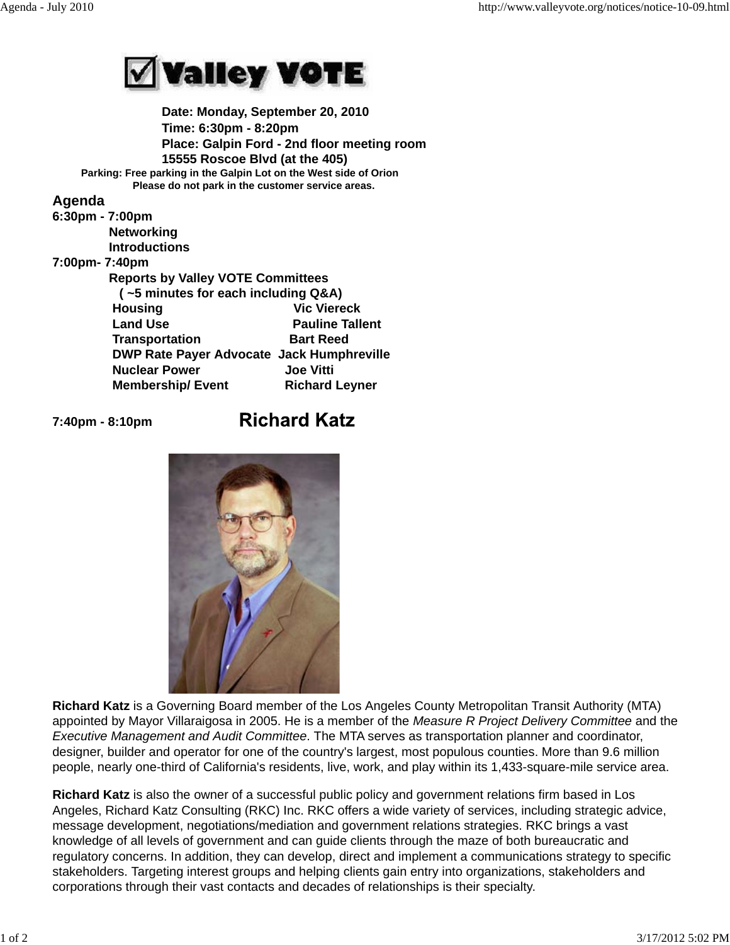

 **Date: Monday, September 20, 2010 Time: 6:30pm - 8:20pm Place: Galpin Ford - 2nd floor meeting room 15555 Roscoe Blvd (at the 405) Parking: Free parking in the Galpin Lot on the West side of Orion Please do not park in the customer service areas.**

## **Agenda** 6:30

| $6:30$ pm - $7:00$ pm |                                                  |                        |
|-----------------------|--------------------------------------------------|------------------------|
|                       | <b>Networking</b>                                |                        |
|                       | <b>Introductions</b>                             |                        |
| 7:00pm-7:40pm         |                                                  |                        |
|                       | <b>Reports by Valley VOTE Committees</b>         |                        |
|                       | (~5 minutes for each including Q&A)              |                        |
|                       | <b>Housing</b>                                   | <b>Vic Viereck</b>     |
|                       | <b>Land Use</b>                                  | <b>Pauline Tallent</b> |
|                       | <b>Transportation</b>                            | <b>Bart Reed</b>       |
|                       | <b>DWP Rate Payer Advocate Jack Humphreville</b> |                        |
|                       | <b>Nuclear Power</b>                             | <b>Joe Vitti</b>       |
|                       | <b>Membership/Event</b>                          | <b>Richard Leyner</b>  |
|                       |                                                  |                        |

**7:40pm - 8:10pm** 

## **Richard Katz**



**Richard Katz** is a Governing Board member of the Los Angeles County Metropolitan Transit Authority (MTA) appointed by Mayor Villaraigosa in 2005. He is a member of the *Measure R Project Delivery Committee* and the *Executive Management and Audit Committee*. The MTA serves as transportation planner and coordinator, designer, builder and operator for one of the country's largest, most populous counties. More than 9.6 million people, nearly one-third of California's residents, live, work, and play within its 1,433-square-mile service area.

**Richard Katz** is also the owner of a successful public policy and government relations firm based in Los Angeles, Richard Katz Consulting (RKC) Inc. RKC offers a wide variety of services, including strategic advice, message development, negotiations/mediation and government relations strategies. RKC brings a vast knowledge of all levels of government and can guide clients through the maze of both bureaucratic and regulatory concerns. In addition, they can develop, direct and implement a communications strategy to specific stakeholders. Targeting interest groups and helping clients gain entry into organizations, stakeholders and corporations through their vast contacts and decades of relationships is their specialty.